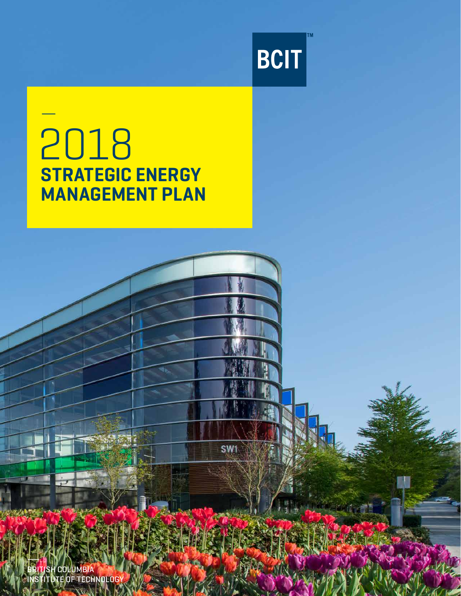

**SW1** 

# — 2018 **STRATEGIC ENERGY** MANAGEMENT PLAN

BRITISH COLUMBIA INSTITUTE OF TECHNOLOGY

 $+$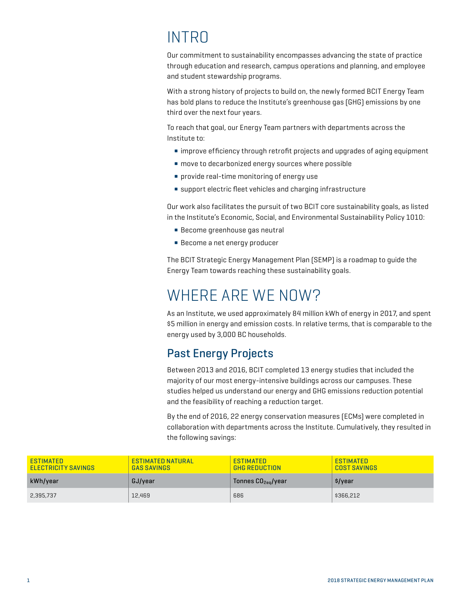## **INTRO**

Our commitment to sustainability encompasses advancing the state of practice through education and research, campus operations and planning, and employee and student stewardship programs.

With a strong history of projects to build on, the newly formed BCIT Energy Team has bold plans to reduce the Institute's greenhouse gas (GHG) emissions by one third over the next four years.

To reach that goal, our Energy Team partners with departments across the Institute to:

- improve efficiency through retrofit projects and upgrades of aging equipment
- move to decarbonized energy sources where possible
- provide real-time monitoring of energy use
- support electric fleet vehicles and charging infrastructure

Our work also facilitates the pursuit of two BCIT core sustainability goals, as listed in the Institute's Economic, Social, and Environmental Sustainability Policy 1010:

- Become greenhouse gas neutral
- Become a net energy producer

The BCIT Strategic Energy Management Plan (SEMP) is a roadmap to guide the Energy Team towards reaching these sustainability goals.

## WHERE ARE WE NOW?

As an Institute, we used approximately 84 million kWh of energy in 2017, and spent \$5 million in energy and emission costs. In relative terms, that is comparable to the energy used by 3,000 BC households.

### Past Energy Projects

Between 2013 and 2016, BCIT completed 13 energy studies that included the majority of our most energy-intensive buildings across our campuses. These studies helped us understand our energy and GHG emissions reduction potential and the feasibility of reaching a reduction target.

By the end of 2016, 22 energy conservation measures (ECMs) were completed in collaboration with departments across the Institute. Cumulatively, they resulted in the following savings:

| <b>ESTIMATED</b><br><b>ELECTRICITY SAVINGS</b> | <b>ESTIMATED NATURAL</b><br><b>GAS SAVINGS</b> | <b>ESTIMATED</b><br><b>GHG REDUCTION</b> | <b>ESTIMATED</b><br><b>COST SAVINGS</b> |
|------------------------------------------------|------------------------------------------------|------------------------------------------|-----------------------------------------|
| kWh/year                                       | GJ/vear                                        | Tonnes $CO_{2\text{eq}}$ /year           | \$/year                                 |
| 2,395,737                                      | 12.469                                         | 686                                      | \$366,212                               |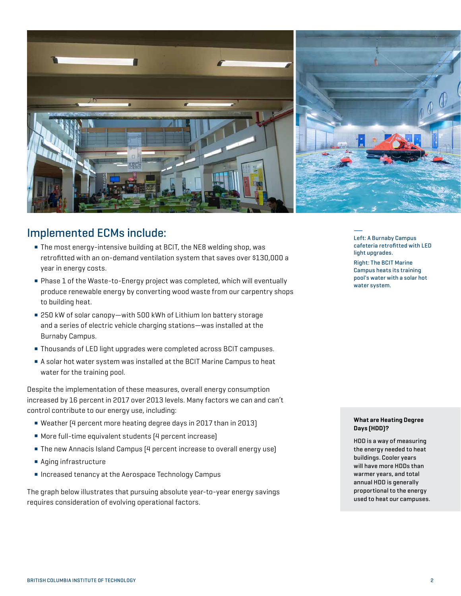

#### Implemented ECMs include:

- The most energy-intensive building at BCIT, the NE8 welding shop, was retrofitted with an on-demand ventilation system that saves over \$130,000 a year in energy costs.
- Phase 1 of the Waste-to-Energy project was completed, which will eventually produce renewable energy by converting wood waste from our carpentry shops to building heat.
- 250 kW of solar canopy—with 500 kWh of Lithium Ion battery storage and a series of electric vehicle charging stations—was installed at the Burnaby Campus.
- Thousands of LED light upgrades were completed across BCIT campuses.
- A solar hot water system was installed at the BCIT Marine Campus to heat water for the training pool.

Despite the implementation of these measures, overall energy consumption increased by 16 percent in 2017 over 2013 levels. Many factors we can and can't control contribute to our energy use, including:

- Weather (4 percent more heating degree days in 2017 than in 2013)
- More full-time equivalent students (4 percent increase)
- The new Annacis Island Campus (4 percent increase to overall energy use)
- Aging infrastructure
- Increased tenancy at the Aerospace Technology Campus

The graph below illustrates that pursuing absolute year-to-year energy savings requires consideration of evolving operational factors.

—— Left: A Burnaby Campus cafeteria retrofitted with LED light upgrades.

Right: The BCIT Marine Campus heats its training pool's water with a solar hot water system.

#### What are Heating Degree Days (HDD)?

HDD is a way of measuring the energy needed to heat buildings. Cooler years will have more HDDs than warmer years, and total annual HDD is generally proportional to the energy used to heat our campuses.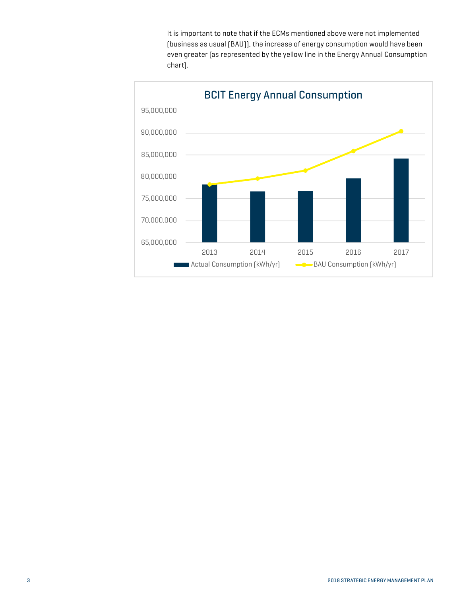It is important to note that if the ECMs mentioned above were not implemented (business as usual (BAU)), the increase of energy consumption would have been even greater (as represented by the yellow line in the Energy Annual Consumption chart).

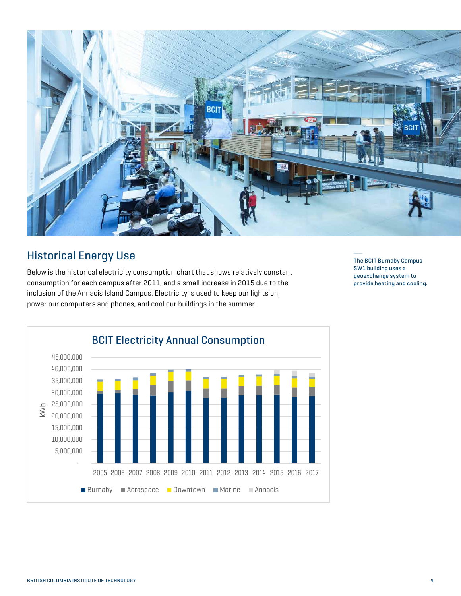

### **Historical Energy Use**

 $\frac{1}{2}$  consumption for each campus after 2011, and a small increase in 2015 due to the 2013 2014 2015 2016 2017 inclusion of the Annacis Island Campus. Electricity is used to keep our lights on, power our computers and phones, and cool our buildings in the summer. Below is the historical electricity consumption chart that shows relatively constant

—— The BCIT Burnaby Campus SW1 building uses a geoexchange system to provide heating and cooling.

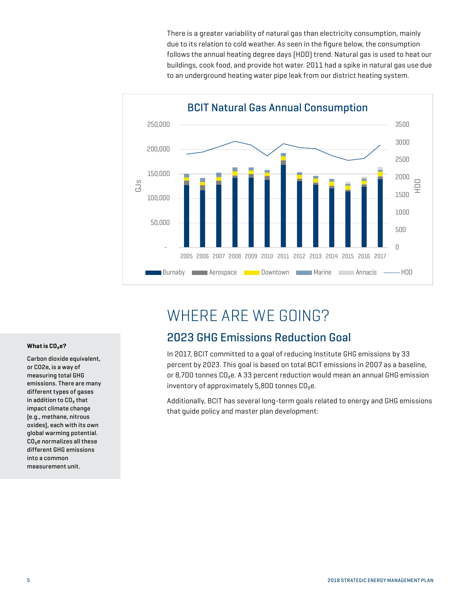There is a greater variability of natural gas than electricity consumption, mainly due to its relation to cold weather. As seen in the figure below, the consumption follows the annual heating degree days (HDD) trend. Natural gas is used to heat our buildings, cook food, and provide hot water. 2011 had a spike in natural gas use due to an underground heating water pipe leak from our district heating system.



## WHERE ARE WE GOING?

### 2023 GHG Emissions Reduction Goal

In 2017, BCIT committed to a goal of reducing Institute GHG emissions by 33 percent by 2023. This goal is based on total BCIT emissions in 2007 as a baseline, or 8,700 tonnes CO₂e. A 33 percent reduction would mean an annual GHG emission inventory of approximately 5,800 tonnes CO₂e.

Additionally, BCIT has several long-term goals related to energy and GHG emissions that guide policy and master plan development:

#### What is CO<sub>2</sub>e?

Carbon dioxide equivalent, or CO2e, is a way of measuring total GHG emissions. There are many different types of gases in addition to CO₂ that impact climate change (e.g., methane, nitrous oxides), each with its own global warming potential. CO₂e normalizes all these different GHG emissions into a common measurement unit.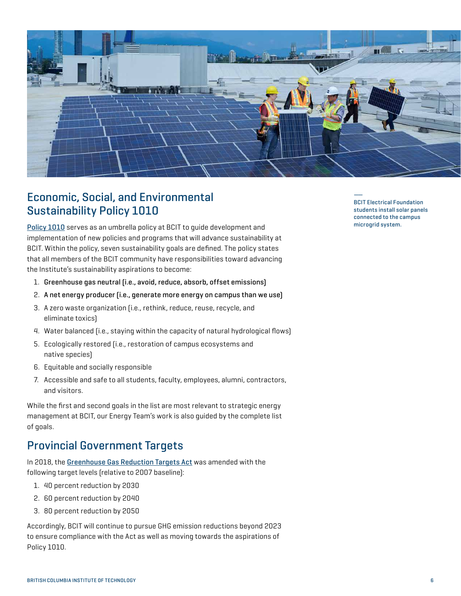

### Economic, Social, and Environmental Sustainability Policy 1010

[Policy 1010](https://www.bcit.ca/files/pdf/policies/1010.pdf) serves as an umbrella policy at BCIT to guide development and implementation of new policies and programs that will advance sustainability at BCIT. Within the policy, seven sustainability goals are defined. The policy states that all members of the BCIT community have responsibilities toward advancing the Institute's sustainability aspirations to become:

- 1. Greenhouse gas neutral (i.e., avoid, reduce, absorb, offset emissions)
- 2. A net energy producer (i.e., generate more energy on campus than we use)
- 3. A zero waste organization (i.e., rethink, reduce, reuse, recycle, and eliminate toxics)
- 4. Water balanced (i.e., staying within the capacity of natural hydrological flows)
- 5. Ecologically restored (i.e., restoration of campus ecosystems and native species)
- 6. Equitable and socially responsible
- 7. Accessible and safe to all students, faculty, employees, alumni, contractors, and visitors.

While the first and second goals in the list are most relevant to strategic energy management at BCIT, our Energy Team's work is also guided by the complete list of goals.

### Provincial Government Targets

In 2018, the [Greenhouse Gas Reduction Targets Act](https://www2.gov.bc.ca/gov/content/environment/climate-change/planning-and-action/legislation) was amended with the following target levels (relative to 2007 baseline):

- 1. 40 percent reduction by 2030
- 2. 60 percent reduction by 2040
- 3. 80 percent reduction by 2050

Accordingly, BCIT will continue to pursue GHG emission reductions beyond 2023 to ensure compliance with the Act as well as moving towards the aspirations of Policy 1010.

—— BCIT Electrical Foundation students install solar panels connected to the campus microgrid system.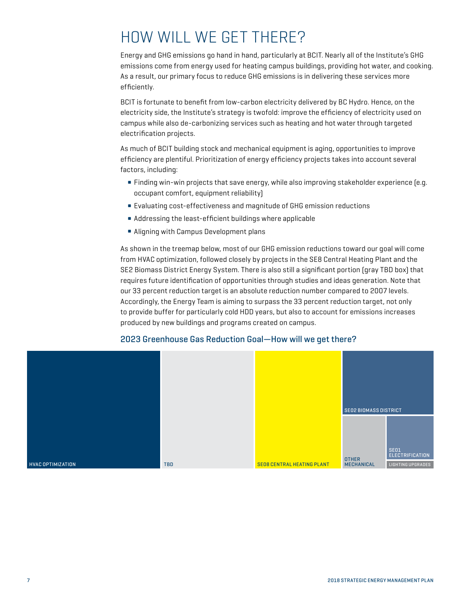## HOW WILL WE GET THERE?

Energy and GHG emissions go hand in hand, particularly at BCIT. Nearly all of the Institute's GHG emissions come from energy used for heating campus buildings, providing hot water, and cooking. As a result, our primary focus to reduce GHG emissions is in delivering these services more efficiently.

BCIT is fortunate to benefit from low-carbon electricity delivered by BC Hydro. Hence, on the electricity side, the Institute's strategy is twofold: improve the efficiency of electricity used on campus while also de-carbonizing services such as heating and hot water through targeted electrification projects.

As much of BCIT building stock and mechanical equipment is aging, opportunities to improve efficiency are plentiful. Prioritization of energy efficiency projects takes into account several factors, including:

- Finding win-win projects that save energy, while also improving stakeholder experience [e.g. occupant comfort, equipment reliability)
- Evaluating cost-effectiveness and magnitude of GHG emission reductions
- Addressing the least-efficient buildings where applicable
- Aligning with Campus Development plans

As shown in the treemap below, most of our GHG emission reductions toward our goal will come from HVAC optimization, followed closely by projects in the SE8 Central Heating Plant and the SE2 Biomass District Energy System. There is also still a significant portion (gray TBD box) that requires future identification of opportunities through studies and ideas generation. Note that our 33 percent reduction target is an absolute reduction number compared to 2007 levels. Accordingly, the Energy Team is aiming to surpass the 33 percent reduction target, not only to provide buffer for particularly cold HDD years, but also to account for emissions increases produced by new buildings and programs created on campus.



#### 2023 Greenhouse Gas Reduction Goal—How will we get there?